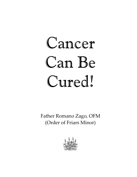Father Romano Zago, OFM (Order of Friars Minor)

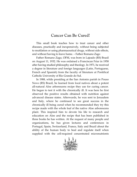This small book teaches how to treat cancer and other diseases, practically and inexpensively, without being subjected to mutilation or using pharmaceutical drugs, without side effects, and without having to leave home. – Father Romano Zago

Father Romano Zago, OFM, was born in Lajeado (RS) Brazil on August 11, 1932. He was ordained a Franciscan Friar in 1958 after having studied philosophy and theology. In 1971, he received a degree in literature and foreign languages (Latin, Portuguese, French and Spanish) from the faculty of literature at Pontifical Catholic University of Rio Grande do Sul.

In 1988, while presiding at the San Antonio parish in Pouso Novo (RS) Brazil, he learned from local natives about a potent all-natural Aloe arborescens recipe they use for curing cancer. He began to test it with the chronically ill. It was here he first observed the positive results obtained with nutrition against advanced disease states. Afterwards, he was sent to Jerusalem and Italy, where he continued to see great success in the chronically ill being cured when he recommended they try this recipe made with the whole leaf of the native Aloe arborescens plant. This inspired him to devote his life to research and education on Aloe and the recipe that has been published in three books he has written. At the request of many people and organizations, he has given lectures and conferences in Portugal, Spain, Switzerland, France, Italy and Brazil about the ability of the human body to heal and regulate itself when supplied with the cell-required concentrated micronutrients

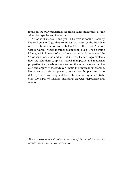found in the polysaccharides (complex sugar molecules) of this Aloe plant species and the recipe.

"Aloe isn't medicine and yet…it Cures!" is another book by Father Romano Zago that continues the story of the Brazilian recipe with Aloe arborescens that is told in this book, "Cancer Can Be Cured," which includes an appendix titled "The Scientific Monographic History of Aloe Vera and Aloe Arborescens." In "Aloe isn't medicine and yet…it Cures", Father Zago explains how the abundant supply of herbal therapeutic and medicinal properties of Aloe arborescens restores the immune system so the cells and organs of the body can regain their normal functioning. He indicates, in simple practice, how to use the plant recipe to detoxify the whole body and boost the immune system to fight over 100 types of illnesses, including diabetes, depression and obesity.

*Aloe arborescens is cultivated in regions of Brazil, Africa and the Mediterranean, but not North America.*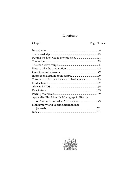# Contents

# Chapter Page Number

| The composition of Aloe vera or barbadensis 119 |  |
|-------------------------------------------------|--|
|                                                 |  |
|                                                 |  |
|                                                 |  |
|                                                 |  |
| Appendix: The Scientific Monographic History    |  |
| of Aloe Vera and Aloe Arborescens173            |  |
| Bibliography and Specific International         |  |
|                                                 |  |
|                                                 |  |

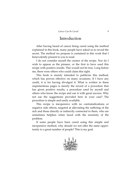# Introduction

After having heard of cancer being cured using the method explained in this book, many people have asked us to reveal the secret. The method we propose is contained in this work that I benevolently present to you to read.

I do not consider myself the creator of the recipe. Nor do I wish to appear as the pioneer, or the first to have used this recipe with positive results. This would not be true. Long before me, there were others who could claim this right.

This book is merely intended to publicize this method, which has proven effective on many occasions. If I have any credit, it is for having divulged it. What is written in these unpretentious pages is merely the record of a procedure that has given positive results, a procedure used by myself and others who know the recipe and use it with great success. Why not use the suggestions provided here in your case? The procedure is simple and easily available.

This recipe is inexpensive with no contraindications or negative side effects, targeted at alleviating the suffering of the sick and those directly or indirectly connected to them, who are sometimes helpless when faced with the enormity of the problem.

If some people have been cured using this simple and inexpensive method, why should we not offer the same opportunity to a great number of people? This is my goal.

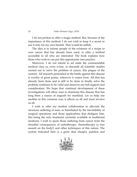#### 10 *Father Romano Zago, OFM*

I do not profess to offer a magic method. But, because of the importance of this method, I do not wish to keep it a secret or use it only for my own benefit. That would be selfish.

The idea is to inform people of the existence of a recipe to cure cancer that has already been used, to offer a method accessible to all who are interested. The book explains how those who wish to can put this opportunity into practice.

Moreover, I do not intend to set aside the commendable medical class or, even worse, to discredit all scientific studies carried out to solve the problem of cancer, this plague of the century. All research performed in the battle against this disease is worthy of great praise, wherever it comes from. All that has already been done and is still to be done to finally solve the problem continues to be valid and deserves our full support and consideration. We hope that continual development of these investigations will allow man to dominate this disease that has long been a source of anguish for mankind. Let us help one another in this common war; it affects us all and must involve us all.

I wish to offer my modest collaboration to alleviate the atrocious suffering of man, so humiliated by the inevitability of surgical operations and those applications that disfigure him, this being the only treatment currently available in traditional medicine. I wish to spare those suffering from cancer from the dreadful consequences of radiotherapy, chemotherapy (a true assault on the body!) and other techniques of this nature. The system indicated here is a great deal cheaper, painless and

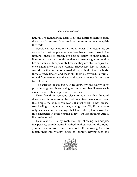natural. The human body heals itself, and nutrition derived from the Aloe arborescens plant provides the resources to accomplish the work.

People can use it from their own homes. The results are so satisfactory that people who have been healed, even those in the terminal phases of cancer, are able to return to their normal lives in two or three months, with even greater vigor and with a better quality of life, possibly because they are able to enjoy life once again after all had seemed irrevocably lost to them. I would like this recipe to be used along with all other methods, those already known and those still to be discovered, to form a united front to eliminate this fatal disease permanently from the face of the earth.

The purpose of this book, in its simplicity and clarity, is to provide a sign for those having to combat terrible illnesses such as cancer and other degenerative diseases.

Dear friend, if someone close to you has this dreadful disease and is undergoing the traditional treatments, offer them this simple method. It can work. It must work. It has caused true healing many, many times, saving lives. Oh, if there were only statistics on the healings that have taken place across the five continents! It costs nothing to try. You lose nothing. And a life can be saved.

Dear reader, it is my wish that, by following this simple, inexpensive, entirely natural method, without contraindications, you can restore your loved ones to health, allowing them to regain their full vitality, twice as joyfully, having seen the

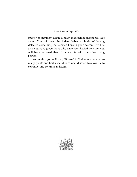specter of imminent death, a death that seemed inevitable, fade away. You will feel the indescribable euphoria of having defeated something that seemed beyond your power. It will be as if you have given those who have been healed new life; you will have returned them to share life with the other living beings.

And within you will sing: "Blessed is God who gave man so many plants and herbs useful to combat disease, to allow life to continue, and continue in health!"

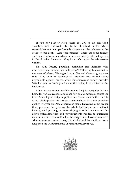If you don't know Aloe (there are 300 to 400 classified varieties, and hundreds still to be classified or for which research has not been performed), choose the plant shown on the cover of this book – Aloe "arborescens." There are some twenty varieties of arborescens, which is the most widely diffused species in Brazil. When I mention Aloe, I am referring to the arborescens variety.

Dr. Aldo Facetti, phytology technician and herbalist, who interviewed me for more than an hour on "TV Riviera," transmitted in the areas of Massa, Viareggio, Lucca, Pisa and Carrara, guarantees that "Aloe vera or barbadensis" provides 40% of the active ingredients against cancer, while the arborescens variety provides 70%. For ease in finding and using the recipe, it is printed on the back cover.

Many people cannot possibly prepare the juice recipe fresh from home for various reasons and must rely on a commercial source for this 10-day liquid recipe supplied in a 16-oz. dark bottle. In this case, it is important to choose a manufacturer that uses premierquality five-year old Aloe arborescens plants harvested at the proper time, processed by grinding the whole leaf into a juice without heating, cold pressing or freeze drying in order to retain all the active polysaccharides and phytonutrients needed to guarantee maximum effectiveness. Finally, the recipe must have at least 40% Aloe arborescens juice, honey, 1% alcohol and be stabilized for a long shelf life without the use of harmful preservatives.

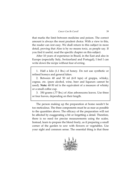that marks the limit between medicine and poison. The correct amount is always the most prudent choice. With a view to this, the reader can rest easy. We shall return to this subject in more detail, proving that Aloe is by no means toxic, as people say. If you find it useful, read the specific chapter on this subject.

After 10 years of experience in Brazil, in the East and also in Europe (especially Italy, Switzerland and Portugal), I feel I can write down the recipe without fear of erring.

1. Half a kilo (1.1 lbs.) of honey. Do not use synthetic or refined honeys and general fakes.

2. Between 40 and 50 ml (6-8 tsps) of grappa, whisky, cognac, etc. (pure alcohol, wine, beer and liqueurs cannot be used). **Note:** 40-50 ml is the equivalent of a measure of whisky or a small coffee cup.

3. 350 grams (.77 lbs.) of Aloe arborescens leaves. Use three or four leaves, depending on their length.

The person making up the preparation at home needn't be too meticulous. The three components must be as near as possible to the quantities above. The efficacy of the preparation will not be affected by exaggerating a bit or forgetting a detail. Therefore, there is no need for precise measurements using the scales. Instead, learn to prepare the blend freely, as if preparing a small corner of the garden to sow with flowers or vegetables. Use your sight and common sense. The essential thing is that these

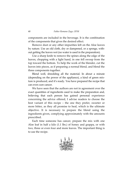components are included in the beverage. It is the combination of the components that gives the desired effect.

Remove dust or any other impurities left on the Aloe leaves by nature. Use an old cloth, dry or dampened, or a sponge, without getting the leaves wet (no water is used in the preparation).

Use a sharp knife to remove the spines along the edge of the leaves, chopping with a light hand, in one fell swoop from the top toward the bottom. To help the work of the blender, cut the leaves into pieces, as if preparing a normal blend, and blend the three components together.

Blend well, shredding all the material. In about a minute (depending on the power of the appliance), a kind of green mixture is produced, and it's ready. You have prepared the recipe that can even cure cancer.

We have seen that the authors are not in agreement over the exact quantities of ingredients used to make the preparation and, believing that each person has gained personal experience concerning the advice offered, I advise readers to choose the best variant of this recipe – the one they prefer, sweeter or more bitter, as they all promise to heal, which is the ultimate objective. It is necessary to prepare the blend using the ingredients given, complying approximately with the amounts prescribed.

Each time someone has cancer, prepare the mix with one Aloe leaf in half a kilo (1.1 lbs.) of honey and grappa, or with two, three or even four and more leaves. The important thing is to use the recipe.

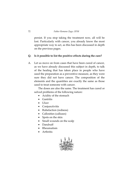persist. If you stop taking the treatment now, all will be lost. Particularly with cancer, you already know the most appropriate way to act, as this has been discussed in depth on the previous pages.

#### **Q. Is it possible to list the positive effects during the cure?**

A. Let us move on from cases that have been cured of cancer, as we have already discussed this subject in depth, to talk of the healing that has taken place in people who have used the preparation as a preventive measure, as they were sure they did not have cancer. The composition of the elements and the quantities are exactly the same as those used to treat someone with cancer.

 The doses are also the same. The treatment has cured or solved problems of the following nature:

- Acidity of the stomach
- Gastritis
- Ulcer
- Conjunctivitis
- Rubefaction (redness)
- Callosities (calluses)
- Spots on the skin
- Small wounds on the scalp
- Dandruff
- Rheumatism
- Arthritis

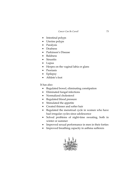- Intestinal polyps
- Uterine polyps
- Paralysis
- Deafness
- Parkinson's Disease
- Baldness
- Sinusitis
- Lupus
- Herpes on the vaginal labia or glans
- Psoriasis
- Epilepsy
- Athlete's foot

It has also:

- Regulated bowel, eliminating constipation
- Eliminated fungal infections
- Normalized cholesterol
- Regulated blood pressure
- Stimulated the appetite
- Created thinner and softer hair
- Regulated the menstrual cycle in women who have had irregular cycles since adolescence
- Solved problems of night-time sweating, both in winter or summer
- Improved sexual performance in men in their forties
- Improved breathing capacity in asthma sufferers

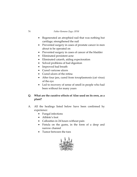#### 74 *Father Romano Zago, OFM*

- Regenerated an atrophied nail that was nothing but cartilage; strengthened the nail
- Prevented surgery in cases of prostate cancer in men about to be operated on
- Prevented surgery in cases of cancer of the bladder
- Eliminated persistent acne
- Eliminated catarrh, aiding expectoration
- Solved problems of bad digestion
- Improved bad breath
- Cured varicose ulcers
- Cured ulcers of the retina
- After four jars, cured from toxoplasmosis (cat virus) of the eye
- Led to recovery of sense of smell in people who had been without for many years

### **Q. What are the curative effects of Aloe used on its own, as a plant?**

- A. All the healings listed below have been confirmed by experience:
	- Fungal infections
	- Athlete's foot
	- Callosities in 24 hours without pain
	- Fistula on the gums, in the form of a deep and narrow channel
	- Tumor between the toes

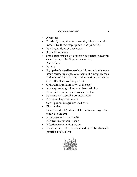- Abscesses
- Dandruff, strengthening the scalp; it is a hair tonic
- Insect bites (bee, wasp, spider, mosquito, etc.)
- Scalding in domestic accidents
- Burns from x-rays
- Small cuts caused by domestic accidents (powerful cicatrisation, or healing of the wound)
- Anti-tetanus
- Eczema
- Erysipelas (acute disease of the skin and subcutaneous tissue caused by a species of hemolytic streptococcus and marked by localized inflammation and fever; also called Saint Anthony's fire)
- Ophthalmia (inflammation of the eye)
- As a suppository, it has cured hemorrhoids
- Dissolved in water, used to clear the liver
- Purifies air in a smoke-polluted room
- Works well against anemia
- Constipation: it regulates the bowel
- Rheumatism
- Cicatrizes (heals) ulcers of the retina or any other wound to the eye
- Eliminates verrucas (warts)
- Effective in combating acne
- Effective in combating worms
- Dissolved in water, it cures acidity of the stomach, gastritis, peptic ulcer

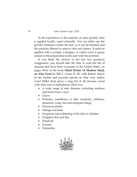#### 76 *Father Romano Zago, OFM*

 In all experiences or the majority of cases quoted, Aloe is applied locally, used externally. You can either use the gel-like substance inside the leaf, or it can be blended and the particles filtered to remove skin and spines. It must be applied with a syringe, a dropper, or cotton wool or gauze soaked in the preparation to the part with the problem.

 If you think the answer to the last two questions exaggerates, you should take the time to read the list of diseases that have been overcome in the United States, on pages 40-41 of the book **Silent Healer (A Modern Study on Aloe Vera)** by Bill C. Coats, R. Ph, with Robert Ahola: In her studies and accurate reports on Aloe vera, author Carol Miller Kent gives a long list of all diseases cured with Aloe vera or barbadensis. Here it is:

- A wide range of skin diseases, including sunburn and burns from x-rays
- Ulcers
- Pustules, exanthema (a skin eruption), itchiness, abrasions, wasp, bee and mosquito stings
- Poisonous plants
- Allergic reactions
- Eruptions and reddening of the skin in children
- Chapped skin and lips
- Dandruff
- Eczema
- Dermatitis

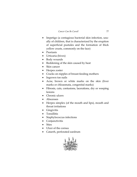- Impetigo (a contagious bacterial skin infection, usually of children, that is characterized by the eruption of superficial pustules and the formation of thick yellow crusts, commonly on the face)
- Psoriasis
- Urticaria (hives)
- Body wounds
- Reddening of the skin caused by heat
- Skin cancer
- Herpes zoster
- Cracks on nipples of breast-feeding mothers
- Ingrown toe nails
- Acne, brown or white marks on the skin (liver marks or chloasmata, congenital marks)
- Fibrosis, cuts, contusions, lacerations, dry or weeping lesions
- Chronic ulcers
- Abscesses
- Herpes simplex (of the mouth and lips), mouth and throat irritations
- Gingivitis
- Tonsillitis
- Staphylococcus infections
- Conjunctivitis
- Sties
- Ulcer of the cornea
- Catarrh, perforated eardrum

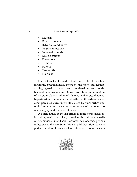- **Mycosis**
- Fungi in general
- Itchy anus and vulva
- Vaginal infections
- Venereal wounds
- Muscle cramps
- Distortions
- Tumors
- Bursitis
- Tendonitis
- Hair loss

 Used internally, it is said that Aloe vera calms headaches, insomnia, breathlessness, stomach disorders, indigestion, acidity, gastritis, peptic and duodenal ulcers, colitis, hemorrhoids, urinary infections, prostatitis (inflammation of prostate gland), inflamed fistulas and cysts, diabetes, hypertension, rheumatism and arthritis, threadworm and other parasites, cures infertility caused by amenorrhea and optimizes any imbalance caused or worsened by taking too many sugary and acidy substances.

 A quick glance at the list brings to mind other diseases, including ventricular ulcer, diverticulitis, pulmonary sediments, sinusitis, moniliasis, trachoma, scleroderma, proteus infections, and snake bites. We can add that Aloe vera is a perfect deodorant, an excellent after-shave lotion, cleans